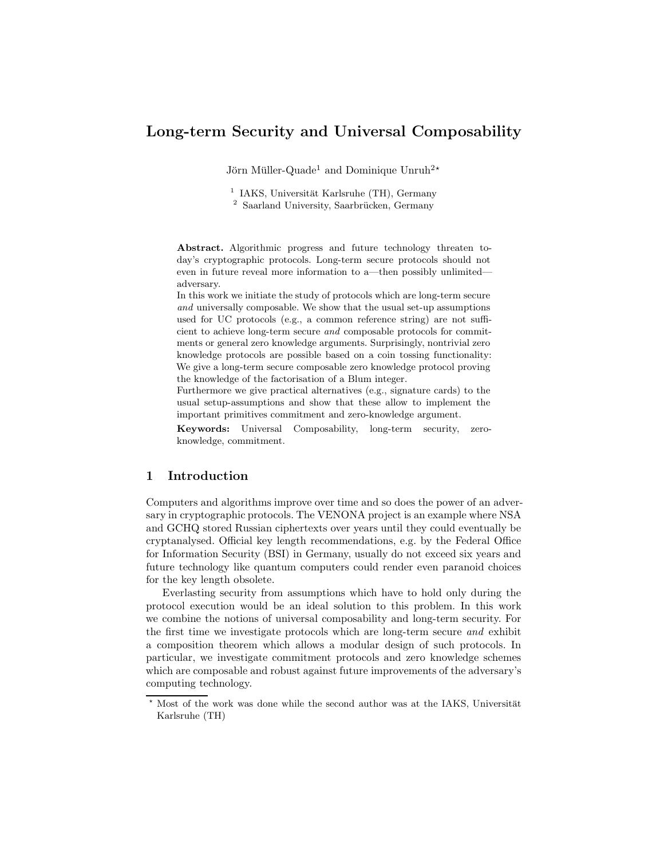# Long-term Security and Universal Composability

Jörn Müller-Quade<sup>1</sup> and Dominique Unruh<sup>2</sup>\*

<sup>1</sup> IAKS, Universität Karlsruhe (TH), Germany  $2$  Saarland University, Saarbrucken, Germany

Abstract. Algorithmic progress and future technology threaten today's cryptographic protocols. Long-term secure protocols should not even in future reveal more information to a—then possibly unlimited adversary.

In this work we initiate the study of protocols which are long-term secure and universally composable. We show that the usual set-up assumptions used for UC protocols (e.g., a common reference string) are not sufficient to achieve long-term secure and composable protocols for commitments or general zero knowledge arguments. Surprisingly, nontrivial zero knowledge protocols are possible based on a coin tossing functionality: We give a long-term secure composable zero knowledge protocol proving the knowledge of the factorisation of a Blum integer.

Furthermore we give practical alternatives (e.g., signature cards) to the usual setup-assumptions and show that these allow to implement the important primitives commitment and zero-knowledge argument.

Keywords: Universal Composability, long-term security, zeroknowledge, commitment.

## 1 Introduction

Computers and algorithms improve over time and so does the power of an adversary in cryptographic protocols. The VENONA project is an example where NSA and GCHQ stored Russian ciphertexts over years until they could eventually be cryptanalysed. Official key length recommendations, e.g. by the Federal Office for Information Security (BSI) in Germany, usually do not exceed six years and future technology like quantum computers could render even paranoid choices for the key length obsolete.

Everlasting security from assumptions which have to hold only during the protocol execution would be an ideal solution to this problem. In this work we combine the notions of universal composability and long-term security. For the first time we investigate protocols which are long-term secure and exhibit a composition theorem which allows a modular design of such protocols. In particular, we investigate commitment protocols and zero knowledge schemes which are composable and robust against future improvements of the adversary's computing technology.

 $*$  Most of the work was done while the second author was at the IAKS, Universität Karlsruhe (TH)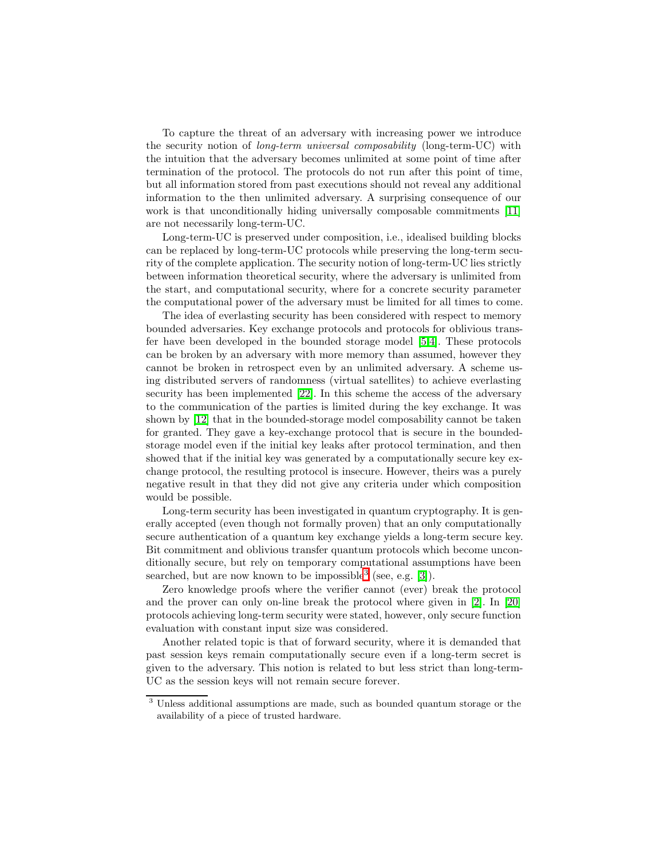To capture the threat of an adversary with increasing power we introduce the security notion of long-term universal composability (long-term-UC) with the intuition that the adversary becomes unlimited at some point of time after termination of the protocol. The protocols do not run after this point of time, but all information stored from past executions should not reveal any additional information to the then unlimited adversary. A surprising consequence of our work is that unconditionally hiding universally composable commitments [\[11\]](#page-19-0) are not necessarily long-term-UC.

Long-term-UC is preserved under composition, i.e., idealised building blocks can be replaced by long-term-UC protocols while preserving the long-term security of the complete application. The security notion of long-term-UC lies strictly between information theoretical security, where the adversary is unlimited from the start, and computational security, where for a concrete security parameter the computational power of the adversary must be limited for all times to come.

The idea of everlasting security has been considered with respect to memory bounded adversaries. Key exchange protocols and protocols for oblivious transfer have been developed in the bounded storage model [\[5](#page-18-0)[,4\]](#page-18-1). These protocols can be broken by an adversary with more memory than assumed, however they cannot be broken in retrospect even by an unlimited adversary. A scheme using distributed servers of randomness (virtual satellites) to achieve everlasting security has been implemented [\[22\]](#page-19-1). In this scheme the access of the adversary to the communication of the parties is limited during the key exchange. It was shown by [\[12\]](#page-19-2) that in the bounded-storage model composability cannot be taken for granted. They gave a key-exchange protocol that is secure in the boundedstorage model even if the initial key leaks after protocol termination, and then showed that if the initial key was generated by a computationally secure key exchange protocol, the resulting protocol is insecure. However, theirs was a purely negative result in that they did not give any criteria under which composition would be possible.

Long-term security has been investigated in quantum cryptography. It is generally accepted (even though not formally proven) that an only computationally secure authentication of a quantum key exchange yields a long-term secure key. Bit commitment and oblivious transfer quantum protocols which become unconditionally secure, but rely on temporary computational assumptions have been searched, but are now known to be impossible<sup>[3](#page-1-0)</sup> (see, e.g. [\[3\]](#page-18-2)).

Zero knowledge proofs where the verifier cannot (ever) break the protocol and the prover can only on-line break the protocol where given in [\[2\]](#page-18-3). In [\[20\]](#page-19-3) protocols achieving long-term security were stated, however, only secure function evaluation with constant input size was considered.

Another related topic is that of forward security, where it is demanded that past session keys remain computationally secure even if a long-term secret is given to the adversary. This notion is related to but less strict than long-term-UC as the session keys will not remain secure forever.

<span id="page-1-0"></span><sup>3</sup> Unless additional assumptions are made, such as bounded quantum storage or the availability of a piece of trusted hardware.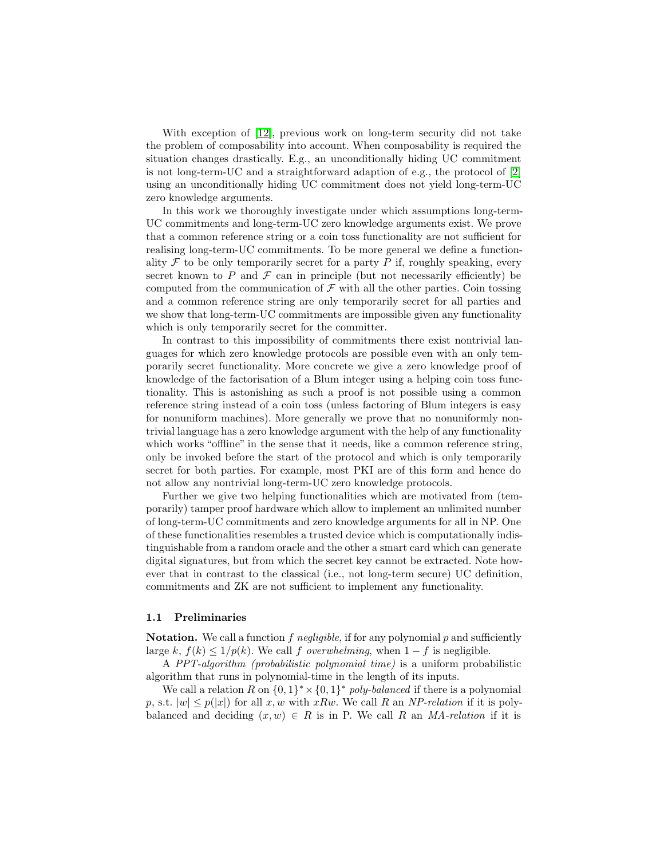With exception of [\[12\]](#page-19-2), previous work on long-term security did not take the problem of composability into account. When composability is required the situation changes drastically. E.g., an unconditionally hiding UC commitment is not long-term-UC and a straightforward adaption of e.g., the protocol of [\[2\]](#page-18-3) using an unconditionally hiding UC commitment does not yield long-term-UC zero knowledge arguments.

In this work we thoroughly investigate under which assumptions long-term-UC commitments and long-term-UC zero knowledge arguments exist. We prove that a common reference string or a coin toss functionality are not sufficient for realising long-term-UC commitments. To be more general we define a functionality  $\mathcal F$  to be only temporarily secret for a party  $P$  if, roughly speaking, every secret known to P and  $\mathcal F$  can in principle (but not necessarily efficiently) be computed from the communication of  $\mathcal F$  with all the other parties. Coin tossing and a common reference string are only temporarily secret for all parties and we show that long-term-UC commitments are impossible given any functionality which is only temporarily secret for the committer.

In contrast to this impossibility of commitments there exist nontrivial languages for which zero knowledge protocols are possible even with an only temporarily secret functionality. More concrete we give a zero knowledge proof of knowledge of the factorisation of a Blum integer using a helping coin toss functionality. This is astonishing as such a proof is not possible using a common reference string instead of a coin toss (unless factoring of Blum integers is easy for nonuniform machines). More generally we prove that no nonuniformly nontrivial language has a zero knowledge argument with the help of any functionality which works "offline" in the sense that it needs, like a common reference string, only be invoked before the start of the protocol and which is only temporarily secret for both parties. For example, most PKI are of this form and hence do not allow any nontrivial long-term-UC zero knowledge protocols.

Further we give two helping functionalities which are motivated from (temporarily) tamper proof hardware which allow to implement an unlimited number of long-term-UC commitments and zero knowledge arguments for all in NP. One of these functionalities resembles a trusted device which is computationally indistinguishable from a random oracle and the other a smart card which can generate digital signatures, but from which the secret key cannot be extracted. Note however that in contrast to the classical (i.e., not long-term secure) UC definition, commitments and ZK are not sufficient to implement any functionality.

#### 1.1 Preliminaries

**Notation.** We call a function  $f$  negligible, if for any polynomial  $p$  and sufficiently large k,  $f(k) \leq 1/p(k)$ . We call f overwhelming, when  $1 - f$  is negligible.

A PPT-algorithm (probabilistic polynomial time) is a uniform probabilistic algorithm that runs in polynomial-time in the length of its inputs.

We call a relation R on  $\{0,1\}^* \times \{0,1\}^*$  poly-balanced if there is a polynomial p, s.t.  $|w| \leq p(|x|)$  for all x, w with xRw. We call R an NP-relation if it is polybalanced and deciding  $(x, w) \in R$  is in P. We call R an MA-relation if it is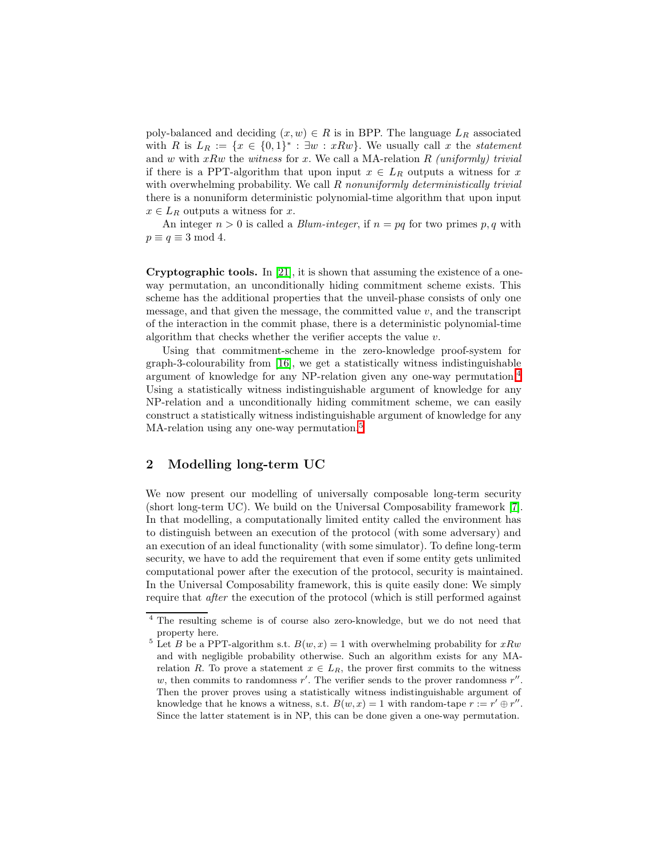poly-balanced and deciding  $(x, w) \in R$  is in BPP. The language  $L_R$  associated with R is  $L_R := \{x \in \{0,1\}^* : \exists w : xRw\}$ . We usually call x the statement and w with  $xRw$  the witness for x. We call a MA-relation  $R$  (uniformly) trivial if there is a PPT-algorithm that upon input  $x \in L_R$  outputs a witness for x with overwhelming probability. We call  $R$  nonuniformly deterministically trivial there is a nonuniform deterministic polynomial-time algorithm that upon input  $x \in L_R$  outputs a witness for x.

An integer  $n > 0$  is called a *Blum-integer*, if  $n = pq$  for two primes p, q with  $p \equiv q \equiv 3 \mod 4$ .

Cryptographic tools. In [\[21\]](#page-19-4), it is shown that assuming the existence of a oneway permutation, an unconditionally hiding commitment scheme exists. This scheme has the additional properties that the unveil-phase consists of only one message, and that given the message, the committed value  $v$ , and the transcript of the interaction in the commit phase, there is a deterministic polynomial-time algorithm that checks whether the verifier accepts the value  $v$ .

Using that commitment-scheme in the zero-knowledge proof-system for graph-3-colourability from [\[16\]](#page-19-5), we get a statistically witness indistinguishable argument of knowledge for any NP-relation given any one-way permutation.[4](#page-3-0) Using a statistically witness indistinguishable argument of knowledge for any NP-relation and a unconditionally hiding commitment scheme, we can easily construct a statistically witness indistinguishable argument of knowledge for any MA-relation using any one-way permutation.<sup>[5](#page-3-1)</sup>

## 2 Modelling long-term UC

We now present our modelling of universally composable long-term security (short long-term UC). We build on the Universal Composability framework [\[7\]](#page-19-6). In that modelling, a computationally limited entity called the environment has to distinguish between an execution of the protocol (with some adversary) and an execution of an ideal functionality (with some simulator). To define long-term security, we have to add the requirement that even if some entity gets unlimited computational power after the execution of the protocol, security is maintained. In the Universal Composability framework, this is quite easily done: We simply require that after the execution of the protocol (which is still performed against

<span id="page-3-0"></span><sup>4</sup> The resulting scheme is of course also zero-knowledge, but we do not need that property here.

<span id="page-3-1"></span><sup>&</sup>lt;sup>5</sup> Let B be a PPT-algorithm s.t.  $B(w, x) = 1$  with overwhelming probability for xRw and with negligible probability otherwise. Such an algorithm exists for any MArelation R. To prove a statement  $x \in L_R$ , the prover first commits to the witness w, then commits to randomness  $r'$ . The verifier sends to the prover randomness  $r''$ . Then the prover proves using a statistically witness indistinguishable argument of knowledge that he knows a witness, s.t.  $B(w, x) = 1$  with random-tape  $r := r' \oplus r''$ . Since the latter statement is in NP, this can be done given a one-way permutation.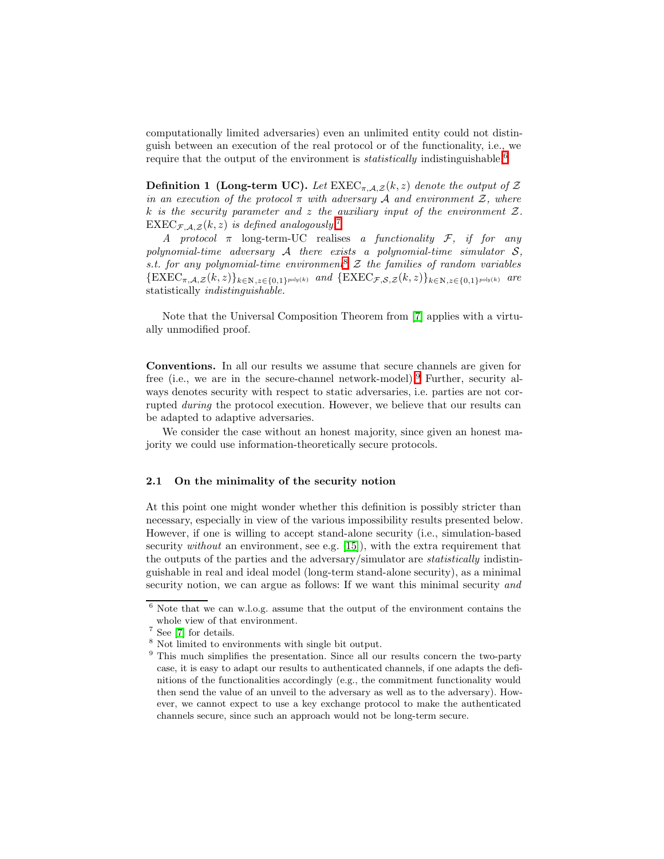<span id="page-4-4"></span>computationally limited adversaries) even an unlimited entity could not distinguish between an execution of the real protocol or of the functionality, i.e., we require that the output of the environment is *statistically* indistinguishable.<sup>[6](#page-4-0)</sup>

**Definition 1 (Long-term UC).** Let  $\text{EXEC}_{\pi,\mathcal{A},\mathcal{Z}}(k,z)$  denote the output of  $\mathcal Z$ in an execution of the protocol  $\pi$  with adversary A and environment Z, where k is the security parameter and z the auxiliary input of the environment  $Z$ .  $\text{EXEC}_{\mathcal{F},A,Z}(k,z)$  is defined analogously.<sup>[7](#page-4-1)</sup>

A protocol  $\pi$  long-term-UC realises a functionality  $\mathcal{F}$ , if for any polynomial-time adversary  $A$  there exists a polynomial-time simulator  $S$ , s.t. for any polynomial-time environment<sup>[8](#page-4-2)</sup>  $\mathcal Z$  the families of random variables  ${\rm \{EXEC_{\pi,\mathcal{A,Z}}(k,z)\}_{k\in\mathbb{N},z\in\{0,1\}^{poly(k)}}}$  and  ${\rm \{EXEC_{\mathcal{F,S,Z}}(k,z)\}_{k\in\mathbb{N},z\in\{0,1\}^{poly(k)}}}$  are statistically indistinguishable.

Note that the Universal Composition Theorem from [\[7\]](#page-19-6) applies with a virtually unmodified proof.

Conventions. In all our results we assume that secure channels are given for free (i.e., we are in the secure-channel network-model).<sup>[9](#page-4-3)</sup> Further, security always denotes security with respect to static adversaries, i.e. parties are not corrupted during the protocol execution. However, we believe that our results can be adapted to adaptive adversaries.

We consider the case without an honest majority, since given an honest majority we could use information-theoretically secure protocols.

#### 2.1 On the minimality of the security notion

At this point one might wonder whether this definition is possibly stricter than necessary, especially in view of the various impossibility results presented below. However, if one is willing to accept stand-alone security (i.e., simulation-based security *without* an environment, see e.g.  $[15]$ , with the extra requirement that the outputs of the parties and the adversary/simulator are statistically indistinguishable in real and ideal model (long-term stand-alone security), as a minimal security notion, we can argue as follows: If we want this minimal security and

<span id="page-4-0"></span><sup>6</sup> Note that we can w.l.o.g. assume that the output of the environment contains the whole view of that environment.

<span id="page-4-1"></span> $^7$  See  $\left[ 7\right]$  for details.

<span id="page-4-3"></span><span id="page-4-2"></span><sup>8</sup> Not limited to environments with single bit output.

<sup>&</sup>lt;sup>9</sup> This much simplifies the presentation. Since all our results concern the two-party case, it is easy to adapt our results to authenticated channels, if one adapts the definitions of the functionalities accordingly (e.g., the commitment functionality would then send the value of an unveil to the adversary as well as to the adversary). However, we cannot expect to use a key exchange protocol to make the authenticated channels secure, since such an approach would not be long-term secure.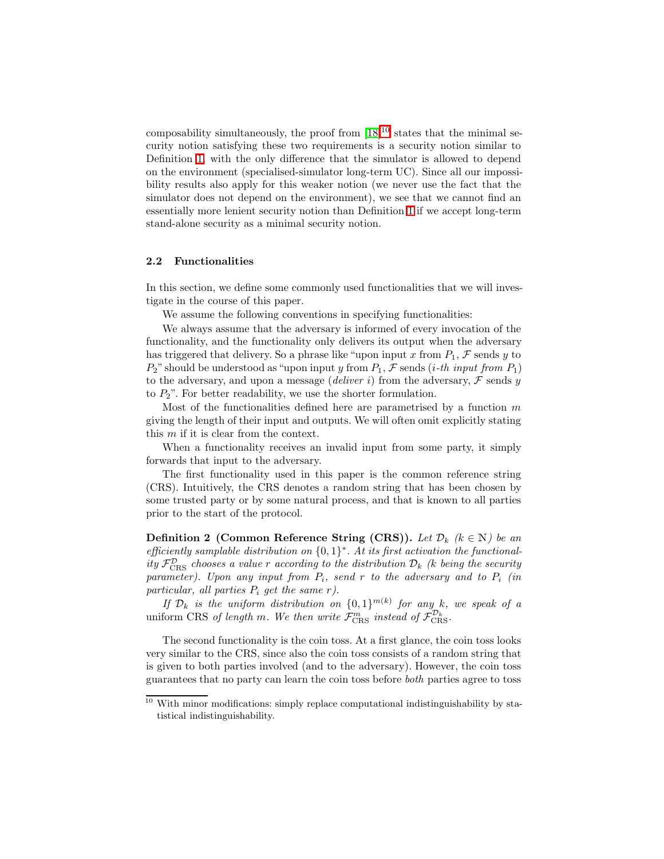composability simultaneously, the proof from  $[18]^{10}$  $[18]^{10}$  $[18]^{10}$  states that the minimal security notion satisfying these two requirements is a security notion similar to Definition [1,](#page-4-4) with the only difference that the simulator is allowed to depend on the environment (specialised-simulator long-term UC). Since all our impossibility results also apply for this weaker notion (we never use the fact that the simulator does not depend on the environment), we see that we cannot find an essentially more lenient security notion than Definition [1](#page-4-4) if we accept long-term stand-alone security as a minimal security notion.

#### 2.2 Functionalities

In this section, we define some commonly used functionalities that we will investigate in the course of this paper.

We assume the following conventions in specifying functionalities:

We always assume that the adversary is informed of every invocation of the functionality, and the functionality only delivers its output when the adversary has triggered that delivery. So a phrase like "upon input x from  $P_1$ ,  $\mathcal F$  sends y to  $P_2$ " should be understood as "upon input y from  $P_1$ ,  $\mathcal F$  sends (*i-th input from*  $P_1$ ) to the adversary, and upon a message (*deliver i*) from the adversary,  $\mathcal F$  sends y to  $P_2$ ". For better readability, we use the shorter formulation.

Most of the functionalities defined here are parametrised by a function  $m$ giving the length of their input and outputs. We will often omit explicitly stating this m if it is clear from the context.

When a functionality receives an invalid input from some party, it simply forwards that input to the adversary.

<span id="page-5-1"></span>The first functionality used in this paper is the common reference string (CRS). Intuitively, the CRS denotes a random string that has been chosen by some trusted party or by some natural process, and that is known to all parties prior to the start of the protocol.

Definition 2 (Common Reference String (CRS)). Let  $\mathcal{D}_k$  ( $k \in \mathbb{N}$ ) be an efficiently samplable distribution on  $\{0,1\}^*$ . At its first activation the functionality  $\mathcal{F}^\mathcal{D}_{\mathrm{CRS}}$  chooses a value  $r$  according to the distribution  $\mathcal{D}_k$  (k being the security parameter). Upon any input from  $P_i$ , send r to the adversary and to  $P_i$  (in particular, all parties  $P_i$  get the same r).

If  $\mathcal{D}_k$  is the uniform distribution on  $\{0,1\}^{m(k)}$  for any k, we speak of a uniform CRS of length m. We then write  $\mathcal{F}_{CRS}^m$  instead of  $\mathcal{F}_{CRS}^{\mathcal{D}_k}$ .

The second functionality is the coin toss. At a first glance, the coin toss looks very similar to the CRS, since also the coin toss consists of a random string that is given to both parties involved (and to the adversary). However, the coin toss guarantees that no party can learn the coin toss before both parties agree to toss

<span id="page-5-0"></span> $10$  With minor modifications: simply replace computational indistinguishability by statistical indistinguishability.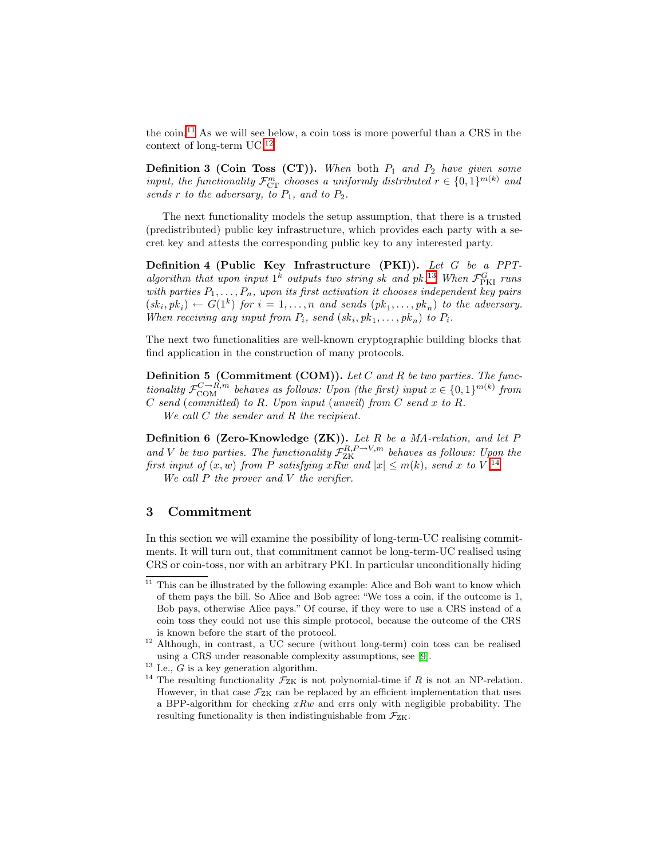the coin.[11](#page-6-0) As we will see below, a coin toss is more powerful than a CRS in the context of long-term UC.[12](#page-6-1)

**Definition 3 (Coin Toss (CT)).** When both  $P_1$  and  $P_2$  have given some input, the functionality  $\mathcal{F}_{\text{CT}}^{m}$  chooses a uniformly distributed  $r \in \{0,1\}^{m(k)}$  and sends r to the adversary, to  $P_1$ , and to  $P_2$ .

The next functionality models the setup assumption, that there is a trusted (predistributed) public key infrastructure, which provides each party with a secret key and attests the corresponding public key to any interested party.

<span id="page-6-5"></span>Definition 4 (Public Key Infrastructure (PKI)). Let G be a PPTalgorithm that upon input  $1^k$  outputs two string sk and pk.<sup>[13](#page-6-2)</sup> When  $\mathcal{F}_{\rm PKI}^G$  runs with parties  $P_1, \ldots, P_n$ , upon its first activation it chooses independent key pairs  $(sk_i, pk_i) \leftarrow G(1^k)$  for  $i = 1, ..., n$  and sends  $(pk_1, ..., pk_n)$  to the adversary. When receiving any input from  $P_i$ , send  $(sk_i, pk_1, \ldots, pk_n)$  to  $P_i$ .

The next two functionalities are well-known cryptographic building blocks that find application in the construction of many protocols.

**Definition 5 (Commitment (COM)).** Let  $C$  and  $R$  be two parties. The functionality  $\mathcal{F}_{COM}^{C \to R,m}$  behaves as follows: Upon (the first) input  $x \in \{0,1\}^{m(k)}$  from C send (committed) to R. Upon input (unveil) from C send x to R.

We call C the sender and R the recipient.

**Definition 6 (Zero-Knowledge (ZK)).** Let R be a MA-relation, and let F and V be two parties. The functionality  $\mathcal{F}_{\text{ZK}}^{R,P\rightarrow V,m}$  behaves as follows: Upon the first input of  $(x, w)$  from P satisfying xRw and  $|x| \le m(k)$ , send x to V.<sup>[14](#page-6-3)</sup>

We call  $P$  the prover and  $V$  the verifier.

## <span id="page-6-4"></span>3 Commitment

In this section we will examine the possibility of long-term-UC realising commitments. It will turn out, that commitment cannot be long-term-UC realised using CRS or coin-toss, nor with an arbitrary PKI. In particular unconditionally hiding

<span id="page-6-0"></span> $11$  This can be illustrated by the following example: Alice and Bob want to know which of them pays the bill. So Alice and Bob agree: "We toss a coin, if the outcome is 1, Bob pays, otherwise Alice pays." Of course, if they were to use a CRS instead of a coin toss they could not use this simple protocol, because the outcome of the CRS is known before the start of the protocol.

<span id="page-6-1"></span><sup>12</sup> Although, in contrast, a UC secure (without long-term) coin toss can be realised using a CRS under reasonable complexity assumptions, see [\[9\]](#page-19-9).

<span id="page-6-2"></span> $^{13}$  I.e.,  $\overset{\sim}{G}$  is a key generation algorithm.

<span id="page-6-3"></span><sup>&</sup>lt;sup>14</sup> The resulting functionality  $\mathcal{F}_{\text{ZK}}$  is not polynomial-time if R is not an NP-relation. However, in that case  $\mathcal{F}_{\text{ZK}}$  can be replaced by an efficient implementation that uses a BPP-algorithm for checking  $xRw$  and errs only with negligible probability. The resulting functionality is then indistinguishable from  $\mathcal{F}_{\text{ZK}}$ .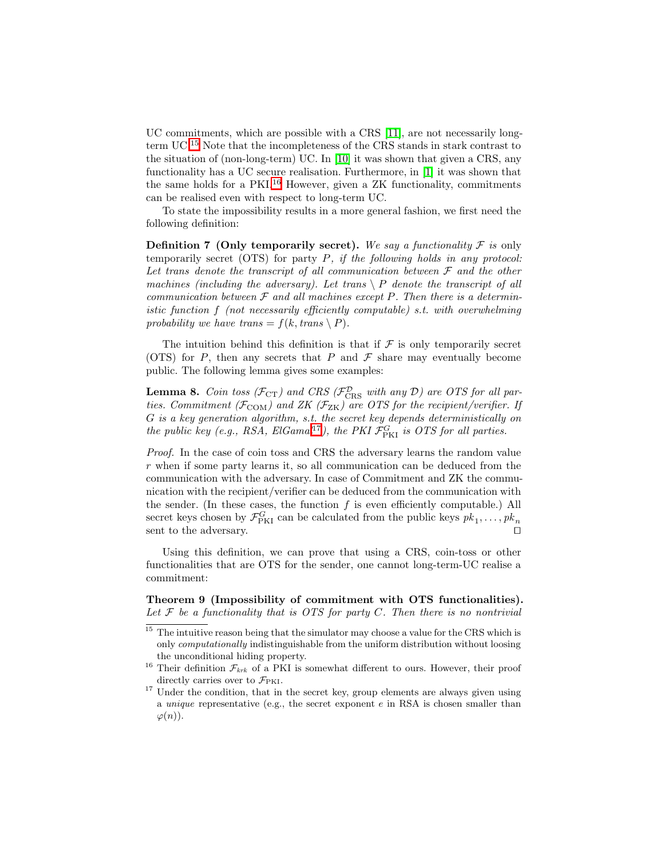UC commitments, which are possible with a CRS [\[11\]](#page-19-0), are not necessarily longterm UC.[15](#page-7-0) Note that the incompleteness of the CRS stands in stark contrast to the situation of (non-long-term) UC. In [\[10\]](#page-19-10) it was shown that given a CRS, any functionality has a UC secure realisation. Furthermore, in [\[1\]](#page-18-4) it was shown that the same holds for a PKI.<sup>[16](#page-7-1)</sup> However, given a ZK functionality, commitments can be realised even with respect to long-term UC.

To state the impossibility results in a more general fashion, we first need the following definition:

**Definition 7 (Only temporarily secret).** We say a functionality  $\mathcal F$  is only temporarily secret (OTS) for party  $P$ , if the following holds in any protocol: Let trans denote the transcript of all communication between  $\mathcal F$  and the other machines (including the adversary). Let trans  $\setminus P$  denote the transcript of all communication between  $\mathcal F$  and all machines except P. Then there is a deterministic function f (not necessarily efficiently computable) s.t. with overwhelming probability we have trans  $=f(k, trans \setminus P)$ .

The intuition behind this definition is that if  $\mathcal F$  is only temporarily secret (OTS) for P, then any secrets that P and  $\mathcal F$  share may eventually become public. The following lemma gives some examples:

<span id="page-7-3"></span>**Lemma 8.** Coin toss ( $\mathcal{F}_{CT}$ ) and CRS ( $\mathcal{F}_{CRS}^{\mathcal{D}}$  with any D) are OTS for all parties. Commitment ( $\mathcal{F}_{COM}$ ) and ZK ( $\mathcal{F}_{ZK}$ ) are OTS for the recipient/verifier. If G is a key generation algorithm, s.t. the secret key depends deterministically on the public key (e.g., RSA, ElGamal<sup>[17](#page-7-2)</sup>), the PKI  $\mathcal{F}_{\rm PKI}^G$  is OTS for all parties.

Proof. In the case of coin toss and CRS the adversary learns the random value r when if some party learns it, so all communication can be deduced from the communication with the adversary. In case of Commitment and ZK the communication with the recipient/verifier can be deduced from the communication with the sender. (In these cases, the function  $f$  is even efficiently computable.) All secret keys chosen by  $\mathcal{F}_{\text{PKI}}^G$  can be calculated from the public keys  $pk_1, \ldots, pk_n$ sent to the adversary.  $\Box$ 

Using this definition, we can prove that using a CRS, coin-toss or other functionalities that are OTS for the sender, one cannot long-term-UC realise a commitment:

<span id="page-7-4"></span>Theorem 9 (Impossibility of commitment with OTS functionalities). Let  $\mathcal F$  be a functionality that is OTS for party C. Then there is no nontrivial

<span id="page-7-0"></span> $\frac{15}{15}$  The intuitive reason being that the simulator may choose a value for the CRS which is only computationally indistinguishable from the uniform distribution without loosing the unconditional hiding property.

<span id="page-7-1"></span><sup>&</sup>lt;sup>16</sup> Their definition  $\mathcal{F}_{krk}$  of a PKI is somewhat different to ours. However, their proof directly carries over to  $\mathcal{F}_{\mathrm{PKI}}$ .

<span id="page-7-2"></span><sup>&</sup>lt;sup>17</sup> Under the condition, that in the secret key, group elements are always given using a *unique* representative (e.g., the secret exponent  $e$  in RSA is chosen smaller than  $\varphi(n)$ .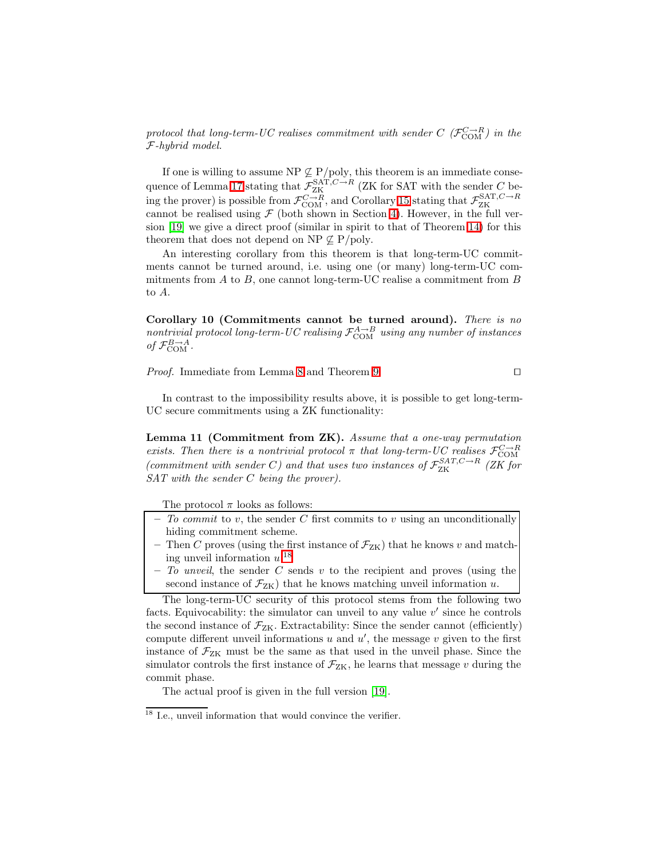protocol that long-term-UC realises commitment with sender  $C(\mathcal{F}^{C\to R}_{\text{COM}})$  in the F-hybrid model.

If one is willing to assume  $NP \not\subseteq P/poly$ , this theorem is an immediate conse-quence of Lemma [17](#page-12-0) stating that  $\mathcal{F}_{\rm ZK}^{\rm SAT,C\rightarrow R}$  (ZK for SAT with the sender C being the prover) is possible from  $\mathcal{F}_{COM}^{C\to R}$ , and Corollary [15](#page-10-0) stating that  $\mathcal{F}_{ZK}^{SAT, C\to R}$ cannot be realised using  $\mathcal F$  (both shown in Section [4\)](#page-9-0). However, in the full version [\[19\]](#page-19-11) we give a direct proof (similar in spirit to that of Theorem [14\)](#page-9-1) for this theorem that does not depend on NP  $\varphi$  P/poly.

An interesting corollary from this theorem is that long-term-UC commitments cannot be turned around, i.e. using one (or many) long-term-UC commitments from  $A$  to  $B$ , one cannot long-term-UC realise a commitment from  $B$ to A.

Corollary 10 (Commitments cannot be turned around). There is no nontrivial protocol long-term-UC realising  $\mathcal{F}^{A\rightarrow B}_{\text{COM}}$  using any number of instances of  $\mathcal{F}_{\text{COM}}^{B\rightarrow A}$ .

*Proof.* Immediate from Lemma [8](#page-7-3) and Theorem [9.](#page-7-4)  $\Box$ 

<span id="page-8-0"></span>In contrast to the impossibility results above, it is possible to get long-term-UC secure commitments using a ZK functionality:

Lemma 11 (Commitment from ZK). Assume that a one-way permutation exists. Then there is a nontrivial protocol  $\pi$  that long-term-UC realises  $\mathcal{F}_{COM}^{C\to R}$ (commitment with sender C) and that uses two instances of  $\mathcal{F}_{\rm ZK}^{SAT,C\rightarrow R}$  (ZK for SAT with the sender C being the prover).

The protocol  $\pi$  looks as follows:

- To commit to  $v$ , the sender C first commits to  $v$  using an unconditionally hiding commitment scheme.
- Then C proves (using the first instance of  $\mathcal{F}_{ZK}$ ) that he knows v and matching unveil information  $u^{18}$
- To unveil, the sender  $C$  sends  $v$  to the recipient and proves (using the second instance of  $\mathcal{F}_{ZK}$ ) that he knows matching unveil information u.

The long-term-UC security of this protocol stems from the following two facts. Equivocability: the simulator can unveil to any value  $v'$  since he controls the second instance of  $\mathcal{F}_{ZK}$ . Extractability: Since the sender cannot (efficiently) compute different unveil informations  $u$  and  $u'$ , the message  $v$  given to the first instance of  $\mathcal{F}_{\text{ZK}}$  must be the same as that used in the unveil phase. Since the simulator controls the first instance of  $\mathcal{F}_{ZK}$ , he learns that message v during the commit phase.

The actual proof is given in the full version [\[19\]](#page-19-11).

<sup>&</sup>lt;sup>18</sup> I.e., unveil information that would convince the verifier.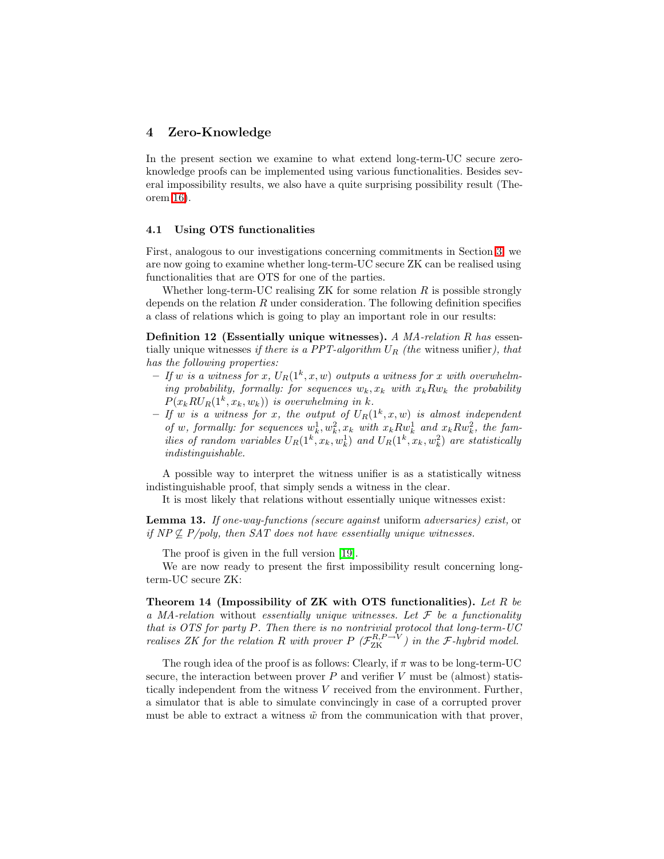## <span id="page-9-0"></span>4 Zero-Knowledge

In the present section we examine to what extend long-term-UC secure zeroknowledge proofs can be implemented using various functionalities. Besides several impossibility results, we also have a quite surprising possibility result (Theorem [16\)](#page-10-1).

#### 4.1 Using OTS functionalities

First, analogous to our investigations concerning commitments in Section [3,](#page-6-4) we are now going to examine whether long-term-UC secure ZK can be realised using functionalities that are OTS for one of the parties.

<span id="page-9-2"></span>Whether long-term-UC realising  $ZK$  for some relation  $R$  is possible strongly depends on the relation  $R$  under consideration. The following definition specifies a class of relations which is going to play an important role in our results:

**Definition 12** (Essentially unique witnesses). A  $MA$ -relation R has essentially unique witnesses if there is a PPT-algorithm  $U_R$  (the witness unifier), that has the following properties:

- $-$  If w is a witness for x,  $U_R(1^k, x, w)$  outputs a witness for x with overwhelming probability, formally: for sequences  $w_k, x_k$  with  $x_k R w_k$  the probability  $P(x_kRU_R(1^k, x_k, w_k))$  is overwhelming in k.
- $-$  If w is a witness for x, the output of  $U_R(1^k, x, w)$  is almost independent of w, formally: for sequences  $w_k^1, w_k^2, x_k$  with  $x_k R w_k^1$  and  $x_k R w_k^2$ , the families of random variables  $U_R(1^k, x_k, w_k^1)$  and  $U_R(1^k, x_k, w_k^2)$  are statistically indistinguishable.

A possible way to interpret the witness unifier is as a statistically witness indistinguishable proof, that simply sends a witness in the clear.

<span id="page-9-3"></span>It is most likely that relations without essentially unique witnesses exist:

Lemma 13. If one-way-functions (secure against uniform adversaries) exist, or if  $NP \nsubseteq P/poly$ , then SAT does not have essentially unique witnesses.

The proof is given in the full version [\[19\]](#page-19-11).

<span id="page-9-1"></span>We are now ready to present the first impossibility result concerning longterm-UC secure ZK:

Theorem 14 (Impossibility of ZK with OTS functionalities). Let R be a MA-relation without essentially unique witnesses. Let  $\mathcal F$  be a functionality that is OTS for party P. Then there is no nontrivial protocol that long-term-UC realises ZK for the relation R with prover  $P(\mathcal{F}_{\text{ZK}}^{R,P\rightarrow V})$  in the F-hybrid model.

The rough idea of the proof is as follows: Clearly, if  $\pi$  was to be long-term-UC secure, the interaction between prover  $P$  and verifier  $V$  must be (almost) statistically independent from the witness V received from the environment. Further, a simulator that is able to simulate convincingly in case of a corrupted prover must be able to extract a witness  $\tilde{w}$  from the communication with that prover,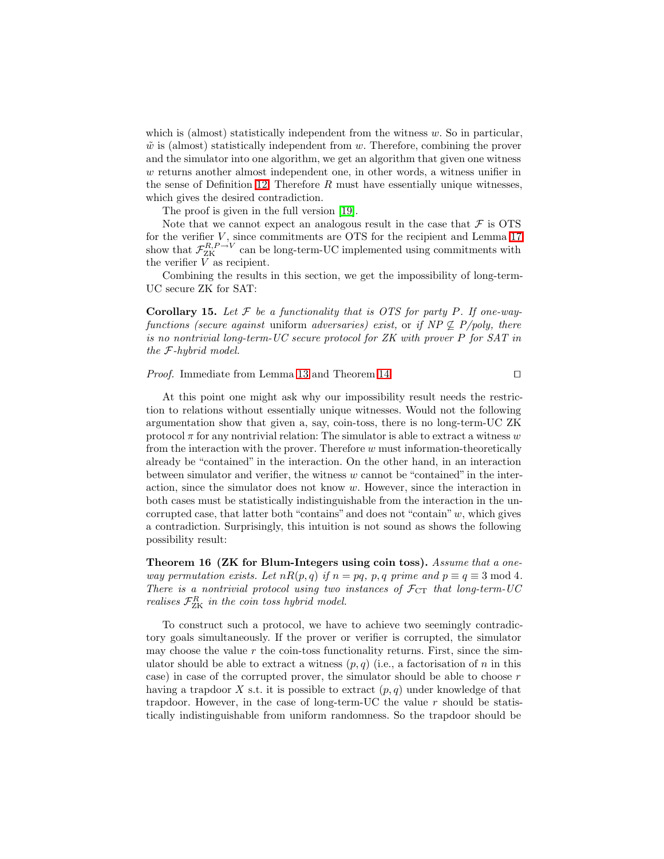which is (almost) statistically independent from the witness  $w$ . So in particular,  $\tilde{w}$  is (almost) statistically independent from w. Therefore, combining the prover and the simulator into one algorithm, we get an algorithm that given one witness w returns another almost independent one, in other words, a witness unifier in the sense of Definition [12.](#page-9-2) Therefore  $R$  must have essentially unique witnesses, which gives the desired contradiction.

The proof is given in the full version [\[19\]](#page-19-11).

Note that we cannot expect an analogous result in the case that  $\mathcal F$  is OTS for the verifier  $V$ , since commitments are OTS for the recipient and Lemma [17](#page-12-0) show that  $\mathcal{F}_{\text{ZK}}^{R,P\to V}$  can be long-term-UC implemented using commitments with the verifier  $V$  as recipient.

<span id="page-10-0"></span>Combining the results in this section, we get the impossibility of long-term-UC secure ZK for SAT:

**Corollary 15.** Let  $\mathcal F$  be a functionality that is OTS for party P. If one-wayfunctions (secure against uniform adversaries) exist, or if  $NP \nsubseteq P/poly$ , there is no nontrivial long-term-UC secure protocol for ZK with prover P for SAT in the F-hybrid model.

*Proof.* Immediate from Lemma [13](#page-9-3) and Theorem [14.](#page-9-1)  $\Box$ 

At this point one might ask why our impossibility result needs the restriction to relations without essentially unique witnesses. Would not the following argumentation show that given a, say, coin-toss, there is no long-term-UC ZK protocol  $\pi$  for any nontrivial relation: The simulator is able to extract a witness w from the interaction with the prover. Therefore  $w$  must information-theoretically already be "contained" in the interaction. On the other hand, in an interaction between simulator and verifier, the witness  $w$  cannot be "contained" in the interaction, since the simulator does not know w. However, since the interaction in both cases must be statistically indistinguishable from the interaction in the uncorrupted case, that latter both "contains" and does not "contain"  $w$ , which gives a contradiction. Surprisingly, this intuition is not sound as shows the following possibility result:

<span id="page-10-1"></span>Theorem 16 (ZK for Blum-Integers using coin toss). Assume that a oneway permutation exists. Let  $nR(p,q)$  if  $n = pq$ , p, q prime and  $p \equiv q \equiv 3 \mod 4$ . There is a nontrivial protocol using two instances of  $\mathcal{F}_{CT}$  that long-term-UC realises  $\mathcal{F}_{\text{ZK}}^R$  in the coin toss hybrid model.

To construct such a protocol, we have to achieve two seemingly contradictory goals simultaneously. If the prover or verifier is corrupted, the simulator may choose the value  $r$  the coin-toss functionality returns. First, since the simulator should be able to extract a witness  $(p, q)$  (i.e., a factorisation of n in this case) in case of the corrupted prover, the simulator should be able to choose  $r$ having a trapdoor X s.t. it is possible to extract  $(p, q)$  under knowledge of that trapdoor. However, in the case of long-term-UC the value  $r$  should be statistically indistinguishable from uniform randomness. So the trapdoor should be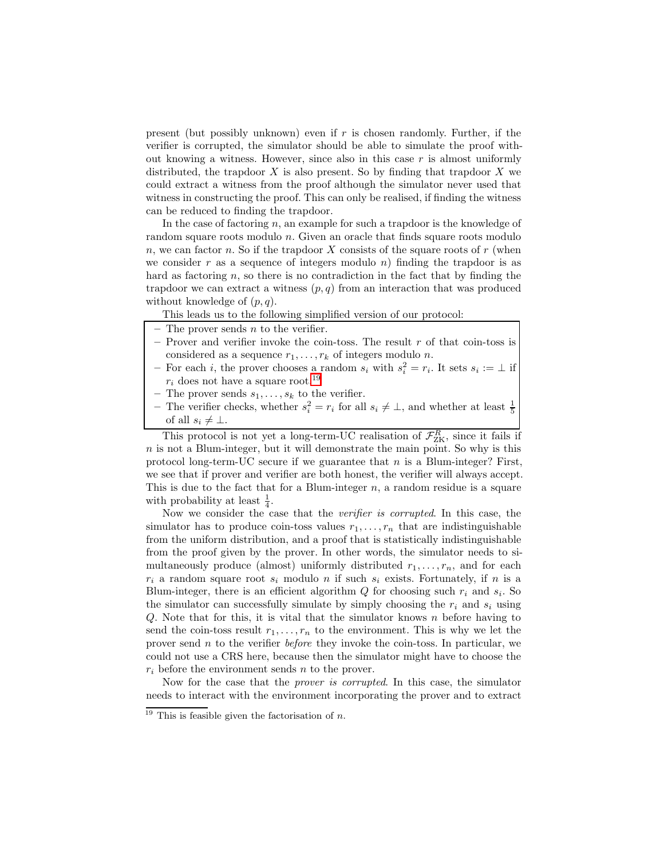present (but possibly unknown) even if  $r$  is chosen randomly. Further, if the verifier is corrupted, the simulator should be able to simulate the proof without knowing a witness. However, since also in this case  $r$  is almost uniformly distributed, the trapdoor  $X$  is also present. So by finding that trapdoor  $X$  we could extract a witness from the proof although the simulator never used that witness in constructing the proof. This can only be realised, if finding the witness can be reduced to finding the trapdoor.

In the case of factoring  $n$ , an example for such a trapdoor is the knowledge of random square roots modulo  $n$ . Given an oracle that finds square roots modulo n, we can factor n. So if the trapdoor  $X$  consists of the square roots of  $r$  (when we consider r as a sequence of integers modulo  $n$ ) finding the trapdoor is as hard as factoring  $n$ , so there is no contradiction in the fact that by finding the trapdoor we can extract a witness  $(p, q)$  from an interaction that was produced without knowledge of  $(p, q)$ .

This leads us to the following simplified version of our protocol:

- The prover sends  $n$  to the verifier.
- Prover and verifier invoke the coin-toss. The result  $r$  of that coin-toss is considered as a sequence  $r_1, \ldots, r_k$  of integers modulo n.
- For each i, the prover chooses a random  $s_i$  with  $s_i^2 = r_i$ . It sets  $s_i := \perp$  if  $r_i$  does not have a square root.<sup>[19](#page-11-0)</sup>
- The prover sends  $s_1, \ldots, s_k$  to the verifier.
- The verifier checks, whether  $s_i^2 = r_i$  for all  $s_i \neq \perp$ , and whether at least  $\frac{1}{5}$ of all  $s_i \neq \perp$ .

This protocol is not yet a long-term-UC realisation of  $\mathcal{F}_{\text{ZK}}^R$ , since it fails if n is not a Blum-integer, but it will demonstrate the main point. So why is this protocol long-term-UC secure if we guarantee that  $n$  is a Blum-integer? First, we see that if prover and verifier are both honest, the verifier will always accept. This is due to the fact that for a Blum-integer  $n$ , a random residue is a square with probability at least  $\frac{1}{4}$ .

Now we consider the case that the verifier is corrupted. In this case, the simulator has to produce coin-toss values  $r_1, \ldots, r_n$  that are indistinguishable from the uniform distribution, and a proof that is statistically indistinguishable from the proof given by the prover. In other words, the simulator needs to simultaneously produce (almost) uniformly distributed  $r_1, \ldots, r_n$ , and for each  $r_i$  a random square root  $s_i$  modulo n if such  $s_i$  exists. Fortunately, if n is a Blum-integer, there is an efficient algorithm  $Q$  for choosing such  $r_i$  and  $s_i$ . So the simulator can successfully simulate by simply choosing the  $r_i$  and  $s_i$  using  $Q$ . Note that for this, it is vital that the simulator knows n before having to send the coin-toss result  $r_1, \ldots, r_n$  to the environment. This is why we let the prover send  $n$  to the verifier *before* they invoke the coin-toss. In particular, we could not use a CRS here, because then the simulator might have to choose the  $r_i$  before the environment sends n to the prover.

Now for the case that the prover is corrupted. In this case, the simulator needs to interact with the environment incorporating the prover and to extract

<span id="page-11-0"></span><sup>&</sup>lt;sup>19</sup> This is feasible given the factorisation of *n*.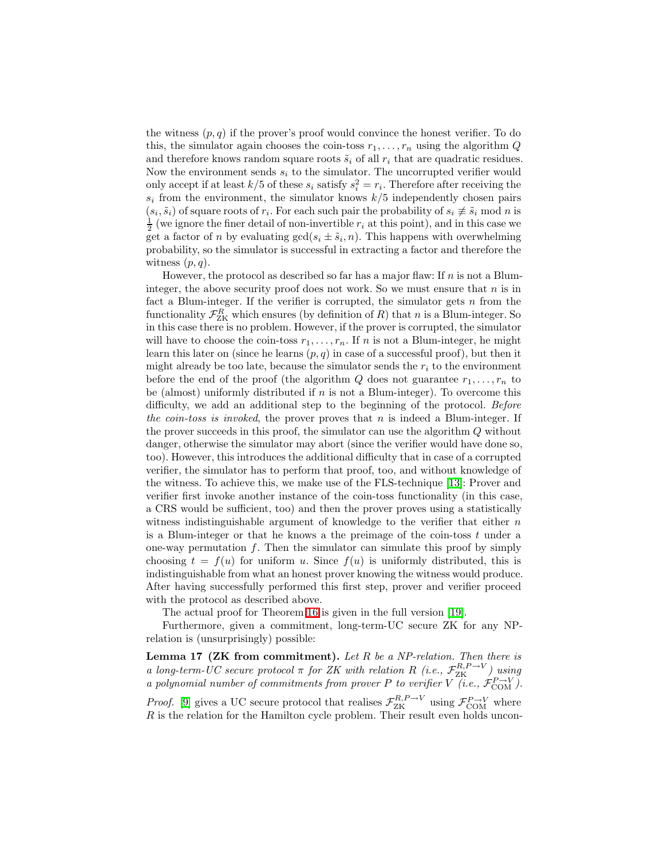the witness  $(p, q)$  if the prover's proof would convince the honest verifier. To do this, the simulator again chooses the coin-toss  $r_1, \ldots, r_n$  using the algorithm Q and therefore knows random square roots  $\tilde{s}_i$  of all  $r_i$  that are quadratic residues. Now the environment sends  $s_i$  to the simulator. The uncorrupted verifier would only accept if at least  $k/5$  of these  $s_i$  satisfy  $s_i^2 = r_i$ . Therefore after receiving the  $s_i$  from the environment, the simulator knows  $k/5$  independently chosen pairs  $(s_i, \tilde{s}_i)$  of square roots of  $r_i$ . For each such pair the probability of  $s_i \not\equiv \tilde{s}_i \bmod n$  is  $\frac{1}{2}$  (we ignore the finer detail of non-invertible  $r_i$  at this point), and in this case we get a factor of *n* by evaluating  $gcd(s_i \pm \tilde{s}_i, n)$ . This happens with overwhelming probability, so the simulator is successful in extracting a factor and therefore the witness  $(p, q)$ .

However, the protocol as described so far has a major flaw: If  $n$  is not a Bluminteger, the above security proof does not work. So we must ensure that  $n$  is in fact a Blum-integer. If the verifier is corrupted, the simulator gets  $n$  from the functionality  $\mathcal{F}_{\text{ZK}}^R$  which ensures (by definition of R) that n is a Blum-integer. So in this case there is no problem. However, if the prover is corrupted, the simulator will have to choose the coin-toss  $r_1, \ldots, r_n$ . If n is not a Blum-integer, he might learn this later on (since he learns  $(p, q)$  in case of a successful proof), but then it might already be too late, because the simulator sends the  $r_i$  to the environment before the end of the proof (the algorithm Q does not guarantee  $r_1, \ldots, r_n$  to be (almost) uniformly distributed if  $n$  is not a Blum-integer). To overcome this difficulty, we add an additional step to the beginning of the protocol. Before the coin-toss is invoked, the prover proves that  $n$  is indeed a Blum-integer. If the prover succeeds in this proof, the simulator can use the algorithm Q without danger, otherwise the simulator may abort (since the verifier would have done so, too). However, this introduces the additional difficulty that in case of a corrupted verifier, the simulator has to perform that proof, too, and without knowledge of the witness. To achieve this, we make use of the FLS-technique [\[13\]](#page-19-12): Prover and verifier first invoke another instance of the coin-toss functionality (in this case, a CRS would be sufficient, too) and then the prover proves using a statistically witness indistinguishable argument of knowledge to the verifier that either  $n$ is a Blum-integer or that he knows a the preimage of the coin-toss  $t$  under a one-way permutation  $f$ . Then the simulator can simulate this proof by simply choosing  $t = f(u)$  for uniform u. Since  $f(u)$  is uniformly distributed, this is indistinguishable from what an honest prover knowing the witness would produce. After having successfully performed this first step, prover and verifier proceed with the protocol as described above.

The actual proof for Theorem [16](#page-10-1) is given in the full version [\[19\]](#page-19-11).

Furthermore, given a commitment, long-term-UC secure ZK for any NPrelation is (unsurprisingly) possible:

<span id="page-12-0"></span>**Lemma 17 (ZK from commitment).** Let  $R$  be a NP-relation. Then there is a long-term-UC secure protocol  $\pi$  for ZK with relation R (i.e.,  $\mathcal{F}_{\text{ZK}}^{R,P\rightarrow V}$ ) using a polynomial number of commitments from prover P to verifier  $V(t.e., \mathcal{F}_{COM}^{P\to V})$ .

*Proof.* [\[9\]](#page-19-9) gives a UC secure protocol that realises  $\mathcal{F}_{\text{ZK}}^{R,P\to V}$  using  $\mathcal{F}_{\text{COM}}^{P\to V}$  where  $R$  is the relation for the Hamilton cycle problem. Their result even holds uncon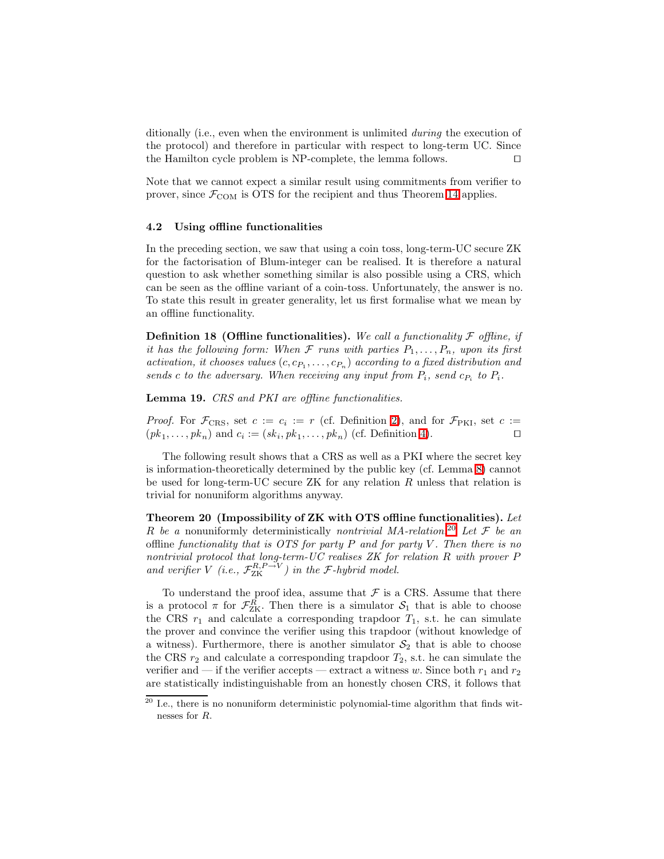ditionally (i.e., even when the environment is unlimited during the execution of the protocol) and therefore in particular with respect to long-term UC. Since the Hamilton cycle problem is NP-complete, the lemma follows.  $\square$ 

Note that we cannot expect a similar result using commitments from verifier to prover, since  $\mathcal{F}_{COM}$  is OTS for the recipient and thus Theorem [14](#page-9-1) applies.

#### 4.2 Using offline functionalities

In the preceding section, we saw that using a coin toss, long-term-UC secure ZK for the factorisation of Blum-integer can be realised. It is therefore a natural question to ask whether something similar is also possible using a CRS, which can be seen as the offline variant of a coin-toss. Unfortunately, the answer is no. To state this result in greater generality, let us first formalise what we mean by an offline functionality.

**Definition 18 (Offline functionalities).** We call a functionality  $\mathcal{F}$  offline, if it has the following form: When  $\mathcal F$  runs with parties  $P_1, \ldots, P_n$ , upon its first activation, it chooses values  $(c, c_{P_1}, \ldots, c_{P_n})$  according to a fixed distribution and sends c to the adversary. When receiving any input from  $P_i$ , send  $c_{P_i}$  to  $P_i$ .

Lemma 19. CRS and PKI are offline functionalities.

*Proof.* For  $\mathcal{F}_{CRS}$ , set  $c := c_i := r$  (cf. Definition [2\)](#page-5-1), and for  $\mathcal{F}_{PKI}$ , set  $c :=$  $(pk_1, \ldots, pk_n)$  and  $c_i := (sk_i, pk_1, \ldots, pk_n)$  (cf. Definition [4\)](#page-6-5).

The following result shows that a CRS as well as a PKI where the secret key is information-theoretically determined by the public key (cf. Lemma [8\)](#page-7-3) cannot be used for long-term-UC secure  $ZK$  for any relation  $R$  unless that relation is trivial for nonuniform algorithms anyway.

<span id="page-13-1"></span>Theorem 20 (Impossibility of ZK with OTS offline functionalities). Let R be a nonuniformly deterministically nontrivial MA-relation.<sup>[20](#page-13-0)</sup> Let  $\mathcal F$  be an offline functionality that is OTS for party  $P$  and for party  $V$ . Then there is no nontrivial protocol that long-term-UC realises ZK for relation R with prover P and verifier V (i.e.,  $\mathcal{F}_{\text{ZK}}^{R,P\to V}$ ) in the *F*-hybrid model.

To understand the proof idea, assume that  $\mathcal F$  is a CRS. Assume that there is a protocol  $\pi$  for  $\mathcal{F}_{\text{ZK}}^R$ . Then there is a simulator  $\mathcal{S}_1$  that is able to choose the CRS  $r_1$  and calculate a corresponding trapdoor  $T_1$ , s.t. he can simulate the prover and convince the verifier using this trapdoor (without knowledge of a witness). Furthermore, there is another simulator  $S_2$  that is able to choose the CRS  $r_2$  and calculate a corresponding trapdoor  $T_2$ , s.t. he can simulate the verifier and — if the verifier accepts — extract a witness w. Since both  $r_1$  and  $r_2$ are statistically indistinguishable from an honestly chosen CRS, it follows that

<span id="page-13-0"></span> $20$  I.e., there is no nonuniform deterministic polynomial-time algorithm that finds witnesses for R.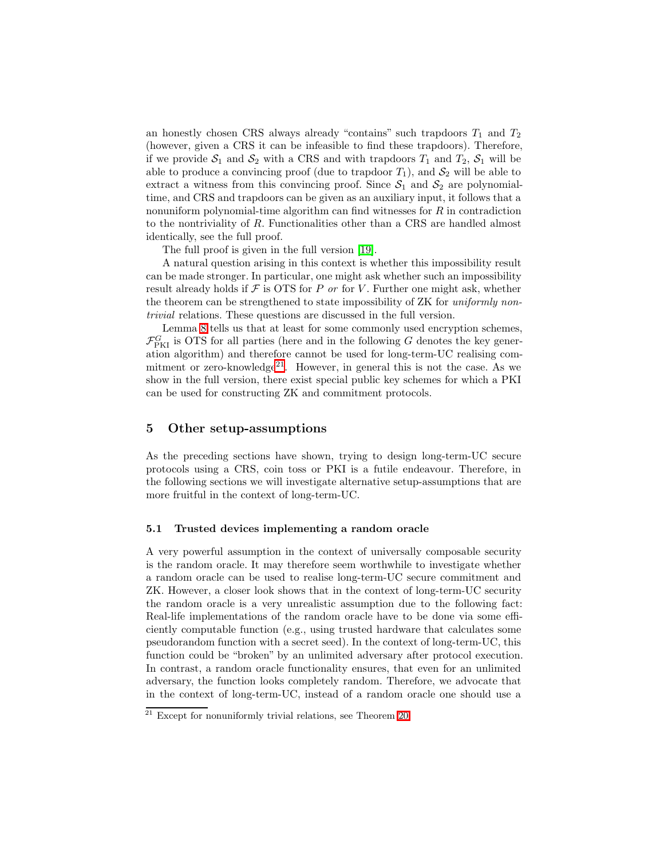an honestly chosen CRS always already "contains" such trapdoors  $T_1$  and  $T_2$ (however, given a CRS it can be infeasible to find these trapdoors). Therefore, if we provide  $S_1$  and  $S_2$  with a CRS and with trapdoors  $T_1$  and  $T_2$ ,  $S_1$  will be able to produce a convincing proof (due to trapdoor  $T_1$ ), and  $S_2$  will be able to extract a witness from this convincing proof. Since  $S_1$  and  $S_2$  are polynomialtime, and CRS and trapdoors can be given as an auxiliary input, it follows that a nonuniform polynomial-time algorithm can find witnesses for  $R$  in contradiction to the nontriviality of R. Functionalities other than a CRS are handled almost identically, see the full proof.

The full proof is given in the full version [\[19\]](#page-19-11).

A natural question arising in this context is whether this impossibility result can be made stronger. In particular, one might ask whether such an impossibility result already holds if  $\mathcal F$  is OTS for P or for V. Further one might ask, whether the theorem can be strengthened to state impossibility of ZK for *uniformly non*trivial relations. These questions are discussed in the full version.

Lemma [8](#page-7-3) tells us that at least for some commonly used encryption schemes,  $\mathcal{F}_{\rm PKI}^G$  is OTS for all parties (here and in the following G denotes the key generation algorithm) and therefore cannot be used for long-term-UC realising com-mitment or zero-knowledge<sup>[21](#page-14-0)</sup>. However, in general this is not the case. As we show in the full version, there exist special public key schemes for which a PKI can be used for constructing ZK and commitment protocols.

## 5 Other setup-assumptions

As the preceding sections have shown, trying to design long-term-UC secure protocols using a CRS, coin toss or PKI is a futile endeavour. Therefore, in the following sections we will investigate alternative setup-assumptions that are more fruitful in the context of long-term-UC.

#### 5.1 Trusted devices implementing a random oracle

A very powerful assumption in the context of universally composable security is the random oracle. It may therefore seem worthwhile to investigate whether a random oracle can be used to realise long-term-UC secure commitment and ZK. However, a closer look shows that in the context of long-term-UC security the random oracle is a very unrealistic assumption due to the following fact: Real-life implementations of the random oracle have to be done via some efficiently computable function (e.g., using trusted hardware that calculates some pseudorandom function with a secret seed). In the context of long-term-UC, this function could be "broken" by an unlimited adversary after protocol execution. In contrast, a random oracle functionality ensures, that even for an unlimited adversary, the function looks completely random. Therefore, we advocate that in the context of long-term-UC, instead of a random oracle one should use a

<span id="page-14-0"></span> $21$  Except for nonuniformly trivial relations, see Theorem [20.](#page-13-1)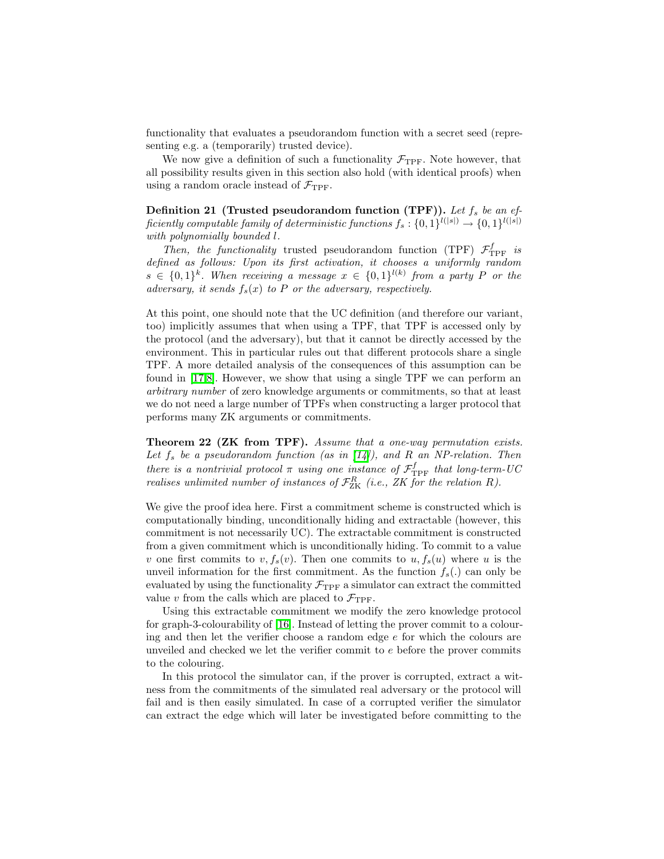functionality that evaluates a pseudorandom function with a secret seed (representing e.g. a (temporarily) trusted device).

We now give a definition of such a functionality  $\mathcal{F}_{\text{TPF}}$ . Note however, that all possibility results given in this section also hold (with identical proofs) when using a random oracle instead of  $\mathcal{F}_{\text{TPF}}$ .

<span id="page-15-1"></span>Definition 21 (Trusted pseudorandom function (TPF)). Let  $f_s$  be an ef $ficiently\ computable\ family\ of\ deterministic\ functions\ f_s:\{0,1\}^{l(|s|)}\rightarrow\{0,1\}^{l(|s|)}$ with polynomially bounded l.

Then, the functionality trusted pseudorandom function (TPF)  $\mathcal{F}_{\text{TPF}}^{f}$  is defined as follows: Upon its first activation, it chooses a uniformly random  $s \in \{0,1\}^k$ . When receiving a message  $x \in \{0,1\}^{l(k)}$  from a party P or the adversary, it sends  $f_s(x)$  to P or the adversary, respectively.

At this point, one should note that the UC definition (and therefore our variant, too) implicitly assumes that when using a TPF, that TPF is accessed only by the protocol (and the adversary), but that it cannot be directly accessed by the environment. This in particular rules out that different protocols share a single TPF. A more detailed analysis of the consequences of this assumption can be found in [\[17,](#page-19-13)[8\]](#page-19-14). However, we show that using a single TPF we can perform an arbitrary number of zero knowledge arguments or commitments, so that at least we do not need a large number of TPFs when constructing a larger protocol that performs many ZK arguments or commitments.

<span id="page-15-0"></span>Theorem 22 (ZK from TPF). Assume that a one-way permutation exists. Let  $f_s$  be a pseudorandom function (as in [\[14\]](#page-19-15)), and R an NP-relation. Then there is a nontrivial protocol  $\pi$  using one instance of  $\mathcal{F}^{f}_{\text{TPF}}$  that long-term-UC realises unlimited number of instances of  $\mathcal{F}_{\text{ZK}}^R$  (i.e., ZK for the relation R).

We give the proof idea here. First a commitment scheme is constructed which is computationally binding, unconditionally hiding and extractable (however, this commitment is not necessarily UC). The extractable commitment is constructed from a given commitment which is unconditionally hiding. To commit to a value v one first commits to  $v, f_s(v)$ . Then one commits to  $u, f_s(u)$  where u is the unveil information for the first commitment. As the function  $f_s(.)$  can only be evaluated by using the functionality  $\mathcal{F}_{\text{TPF}}$  a simulator can extract the committed value v from the calls which are placed to  $\mathcal{F}_{\text{TPF}}$ .

Using this extractable commitment we modify the zero knowledge protocol for graph-3-colourability of [\[16\]](#page-19-5). Instead of letting the prover commit to a colouring and then let the verifier choose a random edge e for which the colours are unveiled and checked we let the verifier commit to e before the prover commits to the colouring.

In this protocol the simulator can, if the prover is corrupted, extract a witness from the commitments of the simulated real adversary or the protocol will fail and is then easily simulated. In case of a corrupted verifier the simulator can extract the edge which will later be investigated before committing to the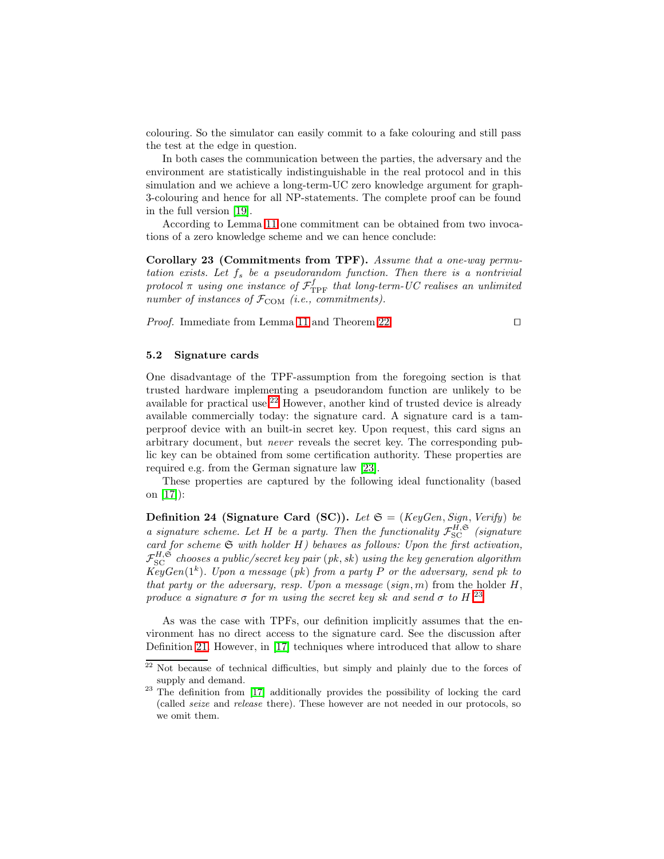colouring. So the simulator can easily commit to a fake colouring and still pass the test at the edge in question.

In both cases the communication between the parties, the adversary and the environment are statistically indistinguishable in the real protocol and in this simulation and we achieve a long-term-UC zero knowledge argument for graph-3-colouring and hence for all NP-statements. The complete proof can be found in the full version [\[19\]](#page-19-11).

According to Lemma [11](#page-8-0) one commitment can be obtained from two invocations of a zero knowledge scheme and we can hence conclude:

Corollary 23 (Commitments from TPF). Assume that a one-way permutation exists. Let  $f_s$  be a pseudorandom function. Then there is a nontrivial protocol  $\pi$  using one instance of  $\mathcal{F}^{f}_{\text{TPF}}$  that long-term-UC realises an unlimited number of instances of  $\mathcal{F}_{COM}$  (i.e., commitments).

*Proof.* Immediate from Lemma [11](#page-8-0) and Theorem [22.](#page-15-0)  $\Box$ 

# 5.2 Signature cards

One disadvantage of the TPF-assumption from the foregoing section is that trusted hardware implementing a pseudorandom function are unlikely to be available for practical use.[22](#page-16-0) However, another kind of trusted device is already available commercially today: the signature card. A signature card is a tamperproof device with an built-in secret key. Upon request, this card signs an arbitrary document, but never reveals the secret key. The corresponding public key can be obtained from some certification authority. These properties are required e.g. from the German signature law [\[23\]](#page-19-16).

These properties are captured by the following ideal functionality (based on [\[17\]](#page-19-13)):

**Definition 24 (Signature Card (SC)).** Let  $\mathfrak{S} = (KeyGen, Sign, Verify)$  be a signature scheme. Let H be a party. Then the functionality  $\mathcal{F}_{SC}^{\overline{H}, \mathfrak{S}}$  (signature card for scheme  $\mathfrak S$  with holder  $H$ ) behaves as follows: Upon the first activation,  $\mathcal{F}_{\text{SC}}^{H, \check{\mathfrak{S}}}$  chooses a public/secret key pair  $(\emph{pk}, \emph{sk})$  using the key generation algorithm  $KeyGen(1<sup>k</sup>)$ . Upon a message (pk) from a party P or the adversary, send pk to that party or the adversary, resp. Upon a message  $(sign, m)$  from the holder  $H$ , produce a signature  $\sigma$  for m using the secret key sk and send  $\sigma$  to H.<sup>[23](#page-16-1)</sup>

As was the case with TPFs, our definition implicitly assumes that the environment has no direct access to the signature card. See the discussion after Definition [21.](#page-15-1) However, in [\[17\]](#page-19-13) techniques where introduced that allow to share

<span id="page-16-0"></span><sup>&</sup>lt;sup>22</sup> Not because of technical difficulties, but simply and plainly due to the forces of supply and demand.

<span id="page-16-1"></span><sup>&</sup>lt;sup>23</sup> The definition from [\[17\]](#page-19-13) additionally provides the possibility of locking the card (called seize and release there). These however are not needed in our protocols, so we omit them.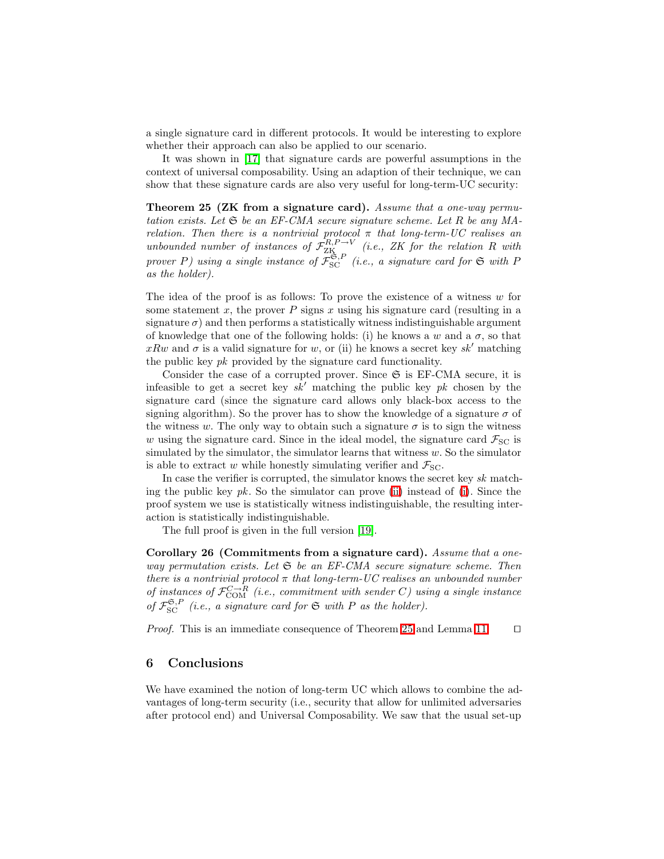a single signature card in different protocols. It would be interesting to explore whether their approach can also be applied to our scenario.

It was shown in [\[17\]](#page-19-13) that signature cards are powerful assumptions in the context of universal composability. Using an adaption of their technique, we can show that these signature cards are also very useful for long-term-UC security:

<span id="page-17-2"></span>Theorem 25 (ZK from a signature card). Assume that a one-way permutation exists. Let  $\mathfrak S$  be an EF-CMA secure signature scheme. Let R be any MArelation. Then there is a nontrivial protocol  $\pi$  that long-term-UC realises an unbounded number of instances of  $\mathcal{F}_{\text{ZK}}^{R,P\rightarrow V}$  (i.e., ZK for the relation R with prover P) using a single instance of  $\mathcal{F}_{SC}^{\mathfrak{S},P}$  (i.e., a signature card for  $\mathfrak{S}$  with P as the holder).

<span id="page-17-1"></span><span id="page-17-0"></span>The idea of the proof is as follows: To prove the existence of a witness  $w$  for some statement x, the prover  $P$  signs x using his signature card (resulting in a signature  $\sigma$ ) and then performs a statistically witness indistinguishable argument of knowledge that one of the following holds: (i) he knows a w and a  $\sigma$ , so that xRw and  $\sigma$  is a valid signature for w, or (ii) he knows a secret key sk<sup>'</sup> matching the public key pk provided by the signature card functionality.

Consider the case of a corrupted prover. Since  $\mathfrak S$  is EF-CMA secure, it is infeasible to get a secret key  $sk'$  matching the public key pk chosen by the signature card (since the signature card allows only black-box access to the signing algorithm). So the prover has to show the knowledge of a signature  $\sigma$  of the witness w. The only way to obtain such a signature  $\sigma$  is to sign the witness w using the signature card. Since in the ideal model, the signature card  $\mathcal{F}_{SC}$  is simulated by the simulator, the simulator learns that witness  $w$ . So the simulator is able to extract w while honestly simulating verifier and  $\mathcal{F}_{SC}$ .

In case the verifier is corrupted, the simulator knows the secret key  $sk$  matching the public key  $pk$ . So the simulator can prove [\(ii\)](#page-17-0) instead of [\(i\)](#page-17-1). Since the proof system we use is statistically witness indistinguishable, the resulting interaction is statistically indistinguishable.

The full proof is given in the full version [\[19\]](#page-19-11).

Corollary 26 (Commitments from a signature card). Assume that a oneway permutation exists. Let  $\mathfrak{S}$  be an EF-CMA secure signature scheme. Then there is a nontrivial protocol  $\pi$  that long-term-UC realises an unbounded number of instances of  $\mathcal{F}^{C\to R}_{COM}$  (i.e., commitment with sender C) using a single instance of  $\mathcal{F}_{SC}^{\mathfrak{S},P}$  (i.e., a signature card for  $\mathfrak{S}$  with P as the holder).

*Proof.* This is an immediate consequence of Theorem [25](#page-17-2) and Lemma [11.](#page-8-0)  $\Box$ 

## 6 Conclusions

We have examined the notion of long-term UC which allows to combine the advantages of long-term security (i.e., security that allow for unlimited adversaries after protocol end) and Universal Composability. We saw that the usual set-up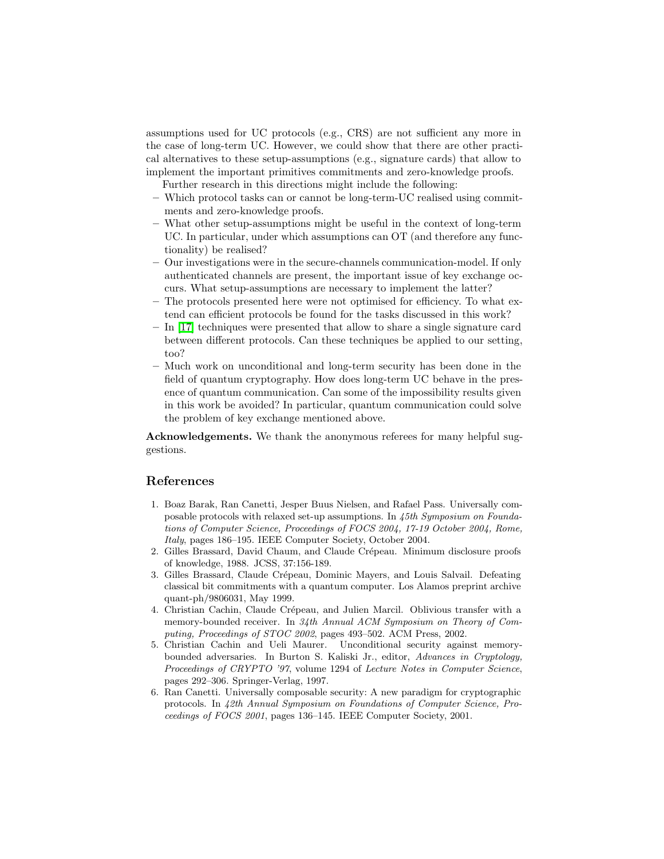assumptions used for UC protocols (e.g., CRS) are not sufficient any more in the case of long-term UC. However, we could show that there are other practical alternatives to these setup-assumptions (e.g., signature cards) that allow to implement the important primitives commitments and zero-knowledge proofs.

Further research in this directions might include the following:

- Which protocol tasks can or cannot be long-term-UC realised using commitments and zero-knowledge proofs.
- What other setup-assumptions might be useful in the context of long-term UC. In particular, under which assumptions can OT (and therefore any functionality) be realised?
- Our investigations were in the secure-channels communication-model. If only authenticated channels are present, the important issue of key exchange occurs. What setup-assumptions are necessary to implement the latter?
- The protocols presented here were not optimised for efficiency. To what extend can efficient protocols be found for the tasks discussed in this work?
- In [\[17\]](#page-19-13) techniques were presented that allow to share a single signature card between different protocols. Can these techniques be applied to our setting, too?
- Much work on unconditional and long-term security has been done in the field of quantum cryptography. How does long-term UC behave in the presence of quantum communication. Can some of the impossibility results given in this work be avoided? In particular, quantum communication could solve the problem of key exchange mentioned above.

Acknowledgements. We thank the anonymous referees for many helpful suggestions.

## <span id="page-18-4"></span>References

- 1. Boaz Barak, Ran Canetti, Jesper Buus Nielsen, and Rafael Pass. Universally composable protocols with relaxed set-up assumptions. In 45th Symposium on Foundations of Computer Science, Proceedings of FOCS 2004, 17-19 October 2004, Rome, Italy, pages 186–195. IEEE Computer Society, October 2004.
- <span id="page-18-3"></span>2. Gilles Brassard, David Chaum, and Claude Crépeau. Minimum disclosure proofs of knowledge, 1988. JCSS, 37:156-189.
- <span id="page-18-2"></span>3. Gilles Brassard, Claude Crépeau, Dominic Mayers, and Louis Salvail. Defeating classical bit commitments with a quantum computer. Los Alamos preprint archive quant-ph/9806031, May 1999.
- <span id="page-18-1"></span>4. Christian Cachin, Claude Crépeau, and Julien Marcil. Oblivious transfer with a memory-bounded receiver. In 34th Annual ACM Symposium on Theory of Computing, Proceedings of STOC 2002, pages 493–502. ACM Press, 2002.
- <span id="page-18-0"></span>5. Christian Cachin and Ueli Maurer. Unconditional security against memorybounded adversaries. In Burton S. Kaliski Jr., editor, Advances in Cryptology, Proceedings of CRYPTO '97, volume 1294 of Lecture Notes in Computer Science, pages 292–306. Springer-Verlag, 1997.
- <span id="page-18-5"></span>6. Ran Canetti. Universally composable security: A new paradigm for cryptographic protocols. In 42th Annual Symposium on Foundations of Computer Science, Proceedings of FOCS 2001, pages 136–145. IEEE Computer Society, 2001.